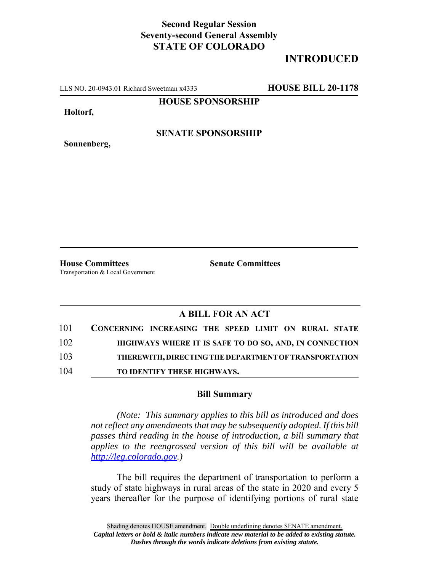### **Second Regular Session Seventy-second General Assembly STATE OF COLORADO**

## **INTRODUCED**

LLS NO. 20-0943.01 Richard Sweetman x4333 **HOUSE BILL 20-1178**

**HOUSE SPONSORSHIP**

**Holtorf,**

**Sonnenberg,**

**SENATE SPONSORSHIP**

**House Committees Senate Committees** Transportation & Local Government

#### **A BILL FOR AN ACT**

| 101 | CONCERNING INCREASING THE SPEED LIMIT ON RURAL STATE   |
|-----|--------------------------------------------------------|
| 102 | HIGHWAYS WHERE IT IS SAFE TO DO SO, AND, IN CONNECTION |
| 103 | THEREWITH, DIRECTING THE DEPARTMENT OF TRANSPORTATION  |
| 104 | <b>TO IDENTIFY THESE HIGHWAYS.</b>                     |

#### **Bill Summary**

*(Note: This summary applies to this bill as introduced and does not reflect any amendments that may be subsequently adopted. If this bill passes third reading in the house of introduction, a bill summary that applies to the reengrossed version of this bill will be available at http://leg.colorado.gov.)*

The bill requires the department of transportation to perform a study of state highways in rural areas of the state in 2020 and every 5 years thereafter for the purpose of identifying portions of rural state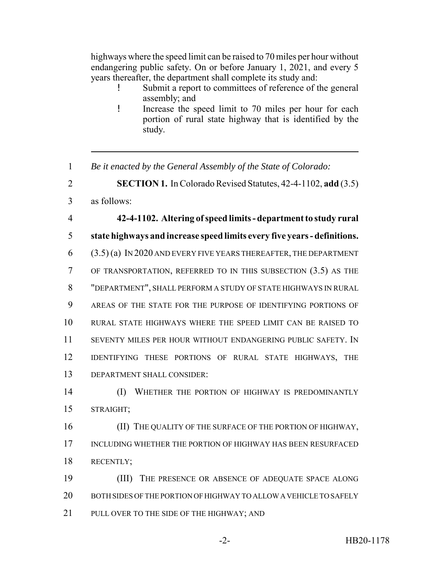highways where the speed limit can be raised to 70 miles per hour without endangering public safety. On or before January 1, 2021, and every 5 years thereafter, the department shall complete its study and:

- Submit a report to committees of reference of the general assembly; and
- ! Increase the speed limit to 70 miles per hour for each portion of rural state highway that is identified by the study.
- 1 *Be it enacted by the General Assembly of the State of Colorado:*
- 2 **SECTION 1.** In Colorado Revised Statutes, 42-4-1102, **add** (3.5)
- 3 as follows:
- 

 **42-4-1102. Altering of speed limits - department to study rural state highways and increase speed limits every five years - definitions.** (3.5) (a) IN 2020 AND EVERY FIVE YEARS THEREAFTER, THE DEPARTMENT OF TRANSPORTATION, REFERRED TO IN THIS SUBSECTION (3.5) AS THE "DEPARTMENT", SHALL PERFORM A STUDY OF STATE HIGHWAYS IN RURAL AREAS OF THE STATE FOR THE PURPOSE OF IDENTIFYING PORTIONS OF RURAL STATE HIGHWAYS WHERE THE SPEED LIMIT CAN BE RAISED TO SEVENTY MILES PER HOUR WITHOUT ENDANGERING PUBLIC SAFETY. IN IDENTIFYING THESE PORTIONS OF RURAL STATE HIGHWAYS, THE DEPARTMENT SHALL CONSIDER:

# 14 (I) WHETHER THE PORTION OF HIGHWAY IS PREDOMINANTLY 15 STRAIGHT;

16 (II) THE QUALITY OF THE SURFACE OF THE PORTION OF HIGHWAY, 17 INCLUDING WHETHER THE PORTION OF HIGHWAY HAS BEEN RESURFACED 18 RECENTLY;

19 (III) THE PRESENCE OR ABSENCE OF ADEQUATE SPACE ALONG 20 BOTH SIDES OF THE PORTION OF HIGHWAY TO ALLOW A VEHICLE TO SAFELY 21 PULL OVER TO THE SIDE OF THE HIGHWAY; AND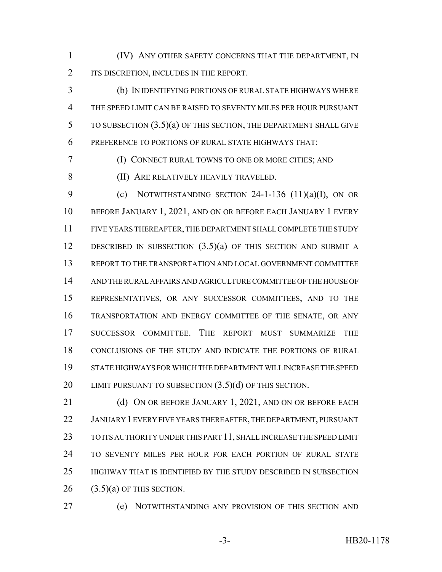(IV) ANY OTHER SAFETY CONCERNS THAT THE DEPARTMENT, IN 2 ITS DISCRETION, INCLUDES IN THE REPORT.

 (b) IN IDENTIFYING PORTIONS OF RURAL STATE HIGHWAYS WHERE THE SPEED LIMIT CAN BE RAISED TO SEVENTY MILES PER HOUR PURSUANT TO SUBSECTION (3.5)(a) OF THIS SECTION, THE DEPARTMENT SHALL GIVE PREFERENCE TO PORTIONS OF RURAL STATE HIGHWAYS THAT:

(I) CONNECT RURAL TOWNS TO ONE OR MORE CITIES; AND

(II) ARE RELATIVELY HEAVILY TRAVELED.

9 (c) NOTWITHSTANDING SECTION -1-136  $(11)(a)(I)$ , ON OR BEFORE JANUARY 1, 2021, AND ON OR BEFORE EACH JANUARY 1 EVERY FIVE YEARS THEREAFTER, THE DEPARTMENT SHALL COMPLETE THE STUDY DESCRIBED IN SUBSECTION (3.5)(a) OF THIS SECTION AND SUBMIT A REPORT TO THE TRANSPORTATION AND LOCAL GOVERNMENT COMMITTEE AND THE RURAL AFFAIRS AND AGRICULTURE COMMITTEE OF THE HOUSE OF REPRESENTATIVES, OR ANY SUCCESSOR COMMITTEES, AND TO THE TRANSPORTATION AND ENERGY COMMITTEE OF THE SENATE, OR ANY SUCCESSOR COMMITTEE. THE REPORT MUST SUMMARIZE THE CONCLUSIONS OF THE STUDY AND INDICATE THE PORTIONS OF RURAL STATE HIGHWAYS FOR WHICH THE DEPARTMENT WILL INCREASE THE SPEED 20 LIMIT PURSUANT TO SUBSECTION  $(3.5)(d)$  OF THIS SECTION.

21 (d) ON OR BEFORE JANUARY 1, 2021, AND ON OR BEFORE EACH JANUARY 1 EVERY FIVE YEARS THEREAFTER, THE DEPARTMENT, PURSUANT TO ITS AUTHORITY UNDER THIS PART 11, SHALL INCREASE THE SPEED LIMIT TO SEVENTY MILES PER HOUR FOR EACH PORTION OF RURAL STATE HIGHWAY THAT IS IDENTIFIED BY THE STUDY DESCRIBED IN SUBSECTION (3.5)(a) OF THIS SECTION.

(e) NOTWITHSTANDING ANY PROVISION OF THIS SECTION AND